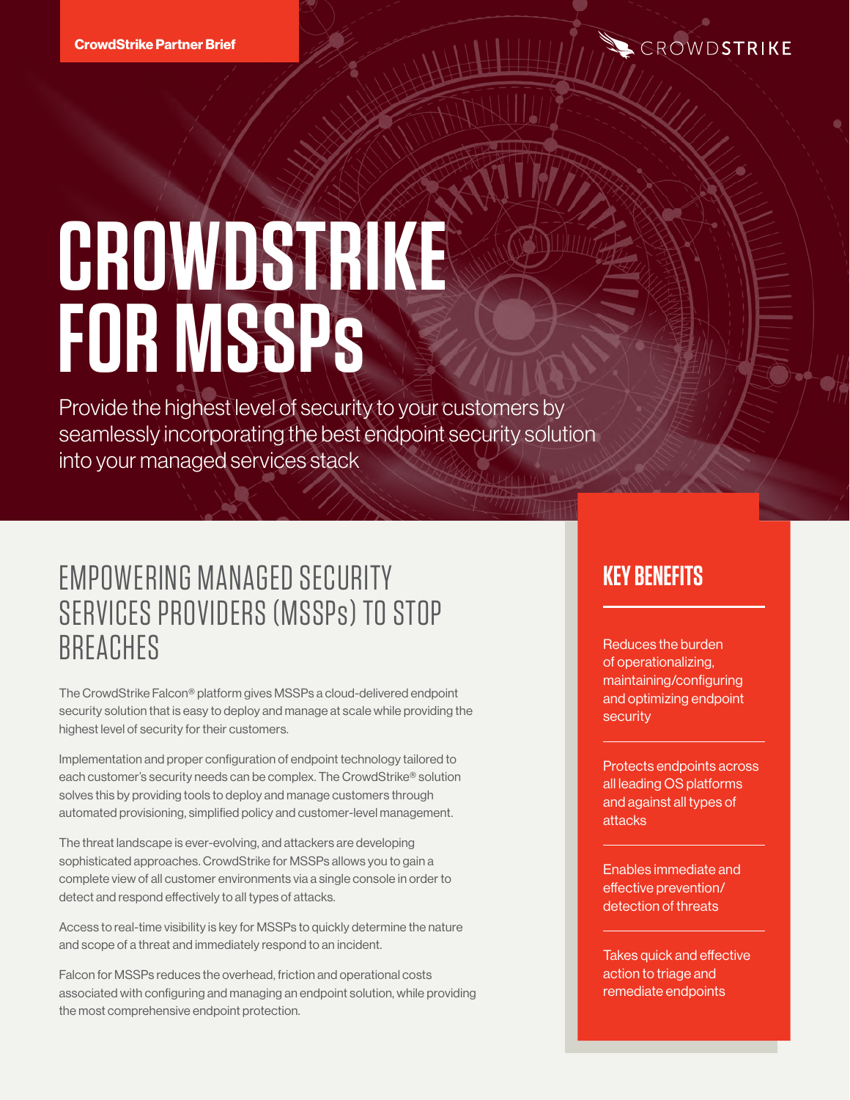

# **CROWDSTRIKE FOR MSSPs**

Provide the highest level of security to your customers by seamlessly incorporating the best endpoint security solution into your managed services stack

## EMPOWERING MANAGED SECURITY SERVICES PROVIDERS (MSSPs) TO STOP **BREACHES**

The CrowdStrike Falcon® platform gives MSSPs a cloud-delivered endpoint security solution that is easy to deploy and manage at scale while providing the highest level of security for their customers.

Implementation and proper configuration of endpoint technology tailored to each customer's security needs can be complex. The CrowdStrike® solution solves this by providing tools to deploy and manage customers through automated provisioning, simplified policy and customer-level management.

The threat landscape is ever-evolving, and attackers are developing sophisticated approaches. CrowdStrike for MSSPs allows you to gain a complete view of all customer environments via a single console in order to detect and respond effectively to all types of attacks.

Access to real-time visibility is key for MSSPs to quickly determine the nature and scope of a threat and immediately respond to an incident.

Falcon for MSSPs reduces the overhead, friction and operational costs associated with configuring and managing an endpoint solution, while providing the most comprehensive endpoint protection.

## **KEY BENEFITS**

Reduces the burden of operationalizing, maintaining/configuring and optimizing endpoint security

Protects endpoints across all leading OS platforms and against all types of attacks

Enables immediate and effective prevention/ detection of threats

Takes quick and effective action to triage and remediate endpoints